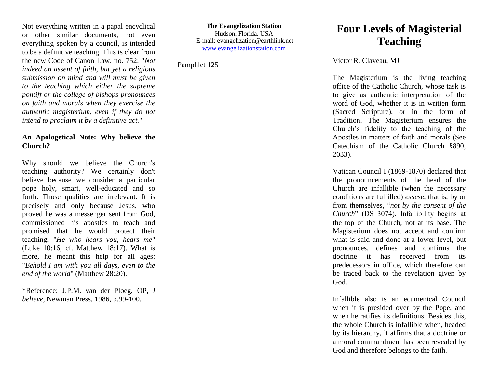Not everything written in a papal encyclical or other similar documents, not even everything spoken by a council, is intended to be a definitive teaching. This is clear from the new Code of Canon Law, no. 752: "*Not indeed an assent of faith, but yet a religious submission on mind and will must be given to the teaching which either the supreme pontiff or the college of bishops pronounces on faith and morals when they exercise the authentic magisterium, even if they do not intend to proclaim it by a definitive act.*"

## **An Apologetical Note: Why believe the Church?**

Why should we believe the Church's teaching authority? We certainly don't believe because we consider a particular pope holy, smart, well-educated and so forth. Those qualities are irrelevant. It is precisely and only because Jesus, who proved he was a messenger sent from God, commissioned his apostles to teach and promised that he would protect their teaching: "*He who hears you, hears me*" (Luke 10:16; cf. Matthew 18:17). What is more, he meant this help for all ages: "*Behold I am with you all days, even to the end of the world*" (Matthew 28:20).

\*Reference: J.P.M. van der Ploeg, OP, *I believe*, Newman Press, 1986, p.99-100.

**The Evangelization Station** Hudson, Florida, USA E-mail: evangelization@earthlink.net [www.evangelizationstation.com](http://www.pjpiisoe.org/)

Pamphlet 125

## **Four Levels of Magisterial Teaching**

Victor R. Claveau, MJ

The Magisterium is the living teaching office of the Catholic Church, whose task is to give as authentic interpretation of the word of God, whether it is in written form (Sacred Scripture), or in the form of Tradition. The Magisterium ensures the Church's fidelity to the teaching of the Apostles in matters of faith and morals (See Catechism of the Catholic Church §890, 2033).

Vatican Council I (1869-1870) declared that the pronouncements of the head of the Church are infallible (when the necessary conditions are fulfilled) *exsese*, that is, by or from themselves, "*not by the consent of the Church*" (DS 3074). Infallibility begins at the top of the Church, not at its base. The Magisterium does not accept and confirm what is said and done at a lower level, but pronounces, defines and confirms the doctrine it has received from its predecessors in office, which therefore can be traced back to the revelation given by God.

Infallible also is an ecumenical Council when it is presided over by the Pope, and when he ratifies its definitions. Besides this, the whole Church is infallible when, headed by its hierarchy, it affirms that a doctrine or a moral commandment has been revealed by God and therefore belongs to the faith.